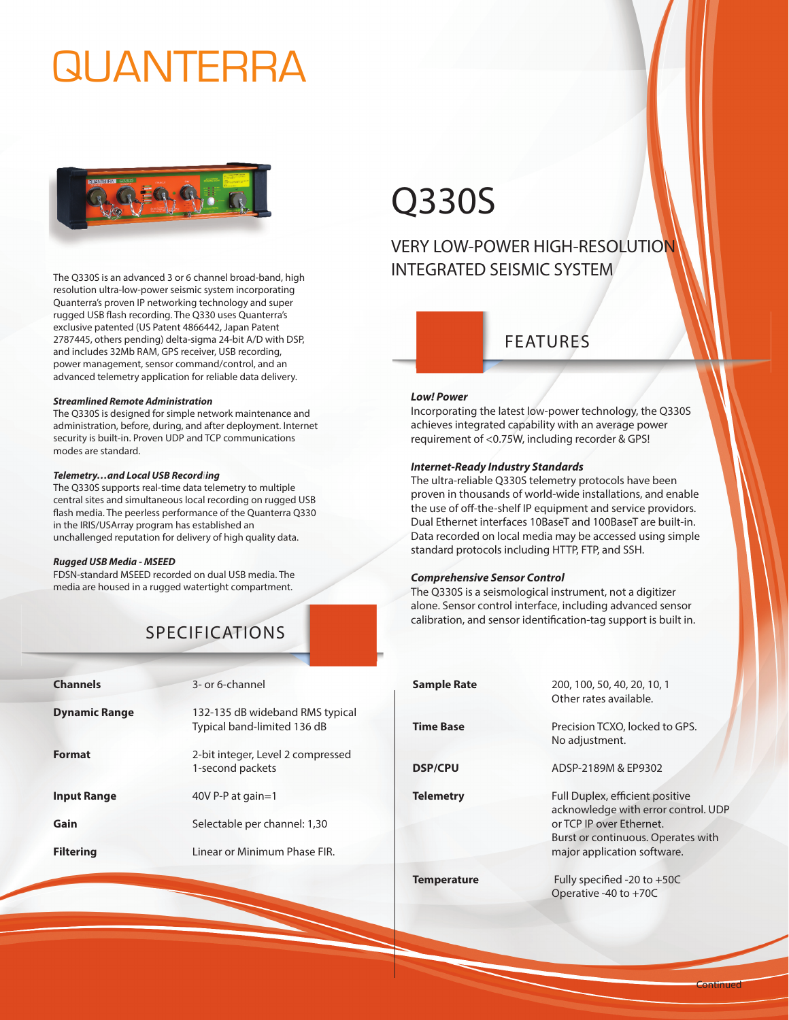# QUANTERRA



The Q330S is an advanced 3 or 6 channel broad-band, high resolution ultra-low-power seismic system incorporating Quanterra's proven IP networking technology and super rugged USB flash recording. The Q330 uses Quanterra's exclusive patented (US Patent 4866442, Japan Patent 2787445, others pending) delta-sigma 24-bit A/D with DSP, and includes 32Mb RAM, GPS receiver, USB recording, power management, sensor command/control, and an advanced telemetry application for reliable data delivery.

#### *Streamlined Remote Administration*

The Q330S is designed for simple network maintenance and administration, before, during, and after deployment. Internet security is built-in. Proven UDP and TCP communications modes are standard.

#### *Telemetry…and Local USB Recordiing*

The Q330S supports real-time data telemetry to multiple central sites and simultaneous local recording on rugged USB flash media. The peerless performance of the Quanterra Q330 in the IRIS/USArray program has established an unchallenged reputation for delivery of high quality data.

#### *Rugged USB Media - MSEED*

FDSN-standard MSEED recorded on dual USB media. The media are housed in a rugged watertight compartment.

# SPECIFICATIONS

| <b>Channels</b>      | 3- or 6-channel                                                |
|----------------------|----------------------------------------------------------------|
| <b>Dynamic Range</b> | 132-135 dB wideband RMS typical<br>Typical band-limited 136 dB |
| <b>Format</b>        | 2-bit integer, Level 2 compressed<br>1-second packets          |
| <b>Input Range</b>   | 40V P-P at gain=1                                              |
| Gain                 | Selectable per channel: 1,30                                   |
| <b>Filtering</b>     | Linear or Minimum Phase FIR.                                   |

# Q330S

# VERY LOW-POWER HIGH-RESOLUTION INTEGRATED SEISMIC SYSTEM

## FEATURES

#### *Low! Power*

Incorporating the latest low-power technology, the Q330S achieves integrated capability with an average power requirement of <0.75W, including recorder & GPS!

### *Internet-Ready Industry Standards*

The ultra-reliable Q330S telemetry protocols have been proven in thousands of world-wide installations, and enable the use of off-the-shelf IP equipment and service providors. Dual Ethernet interfaces 10BaseT and 100BaseT are built-in. Data recorded on local media may be accessed using simple standard protocols including HTTP, FTP, and SSH.

### *Comprehensive Sensor Control*

**USA** - 222 Vista Ave., Pasadena, CA 91107

The Q330S is a seismological instrument, not a digitizer alone. Sensor control interface, including advanced sensor calibration, and sensor identification-tag support is built in.

| Sample Rate        | 200, 100, 50, 40, 20, 10, 1<br>Other rates available.                                                                                                                   |
|--------------------|-------------------------------------------------------------------------------------------------------------------------------------------------------------------------|
| <b>Time Base</b>   | Precision TCXO, locked to GPS.<br>No adjustment.                                                                                                                        |
| <b>DSP/CPU</b>     | ADSP-2189M & EP9302                                                                                                                                                     |
| <b>Telemetry</b>   | Full Duplex, efficient positive<br>acknowledge with error control. UDP<br>or TCP IP over Ethernet.<br>Burst or continuous. Operates with<br>major application software. |
| <b>Temperature</b> | Fully specified -20 to $+50C$<br>Operative -40 to +70C                                                                                                                  |